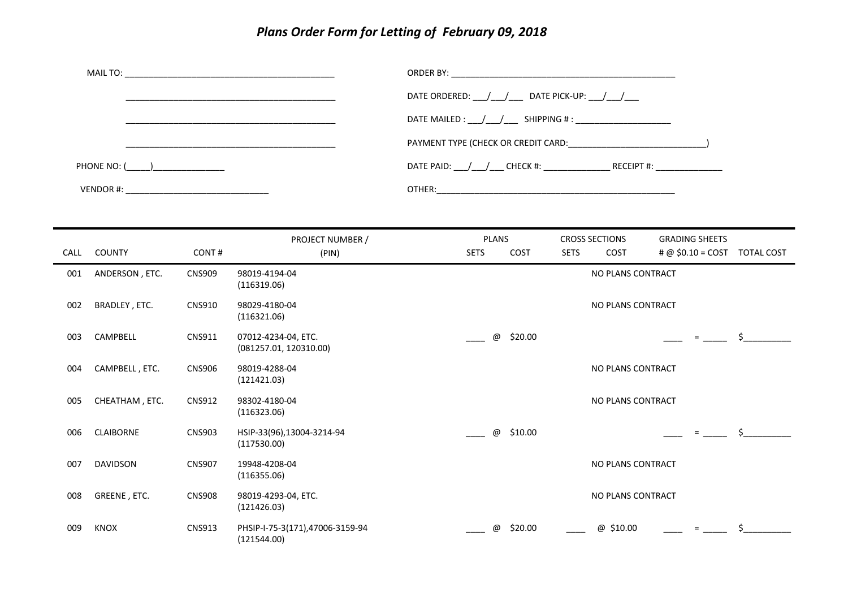## *Plans Order Form for Letting of February 09, 2018*

|               | DATE ORDERED: / / DATE PICK-UP: / /                                              |
|---------------|----------------------------------------------------------------------------------|
|               | DATE MAILED : ____/____/ ______ SHIPPING # : _____________________________       |
|               |                                                                                  |
| PHONE NO: ( ) | DATE PAID: ___/___/____CHECK #: _____________________RECEIPT #: ________________ |
|               |                                                                                  |

| CALL | <b>COUNTY</b>    | CONT#         | PROJECT NUMBER /<br>(PIN)                      | <b>PLANS</b><br><b>SETS</b> | COST    | <b>SETS</b> | <b>CROSS SECTIONS</b><br><b>COST</b> | <b>GRADING SHEETS</b><br>$\# @$ \$0.10 = COST TOTAL COST |    |
|------|------------------|---------------|------------------------------------------------|-----------------------------|---------|-------------|--------------------------------------|----------------------------------------------------------|----|
| 001  | ANDERSON, ETC.   | <b>CNS909</b> | 98019-4194-04<br>(116319.06)                   |                             |         |             | NO PLANS CONTRACT                    |                                                          |    |
| 002  | BRADLEY, ETC.    | <b>CNS910</b> | 98029-4180-04<br>(116321.06)                   |                             |         |             | NO PLANS CONTRACT                    |                                                          |    |
| 003  | CAMPBELL         | <b>CNS911</b> | 07012-4234-04, ETC.<br>(081257.01, 120310.00)  | @                           | \$20.00 |             |                                      | $=$                                                      | Š. |
| 004  | CAMPBELL, ETC.   | <b>CNS906</b> | 98019-4288-04<br>(121421.03)                   |                             |         |             | NO PLANS CONTRACT                    |                                                          |    |
| 005  | CHEATHAM, ETC.   | <b>CNS912</b> | 98302-4180-04<br>(116323.06)                   |                             |         |             | NO PLANS CONTRACT                    |                                                          |    |
| 006  | <b>CLAIBORNE</b> | <b>CNS903</b> | HSIP-33(96),13004-3214-94<br>(117530.00)       | $^\copyright$               | \$10.00 |             |                                      | $=$                                                      | \$ |
| 007  | <b>DAVIDSON</b>  | <b>CNS907</b> | 19948-4208-04<br>(116355.06)                   |                             |         |             | NO PLANS CONTRACT                    |                                                          |    |
| 008  | GREENE, ETC.     | <b>CNS908</b> | 98019-4293-04, ETC.<br>(121426.03)             |                             |         |             | NO PLANS CONTRACT                    |                                                          |    |
| 009  | KNOX             | <b>CNS913</b> | PHSIP-I-75-3(171),47006-3159-94<br>(121544.00) | @                           | \$20.00 |             | $^\copyright$<br>\$10.00             | $=$                                                      |    |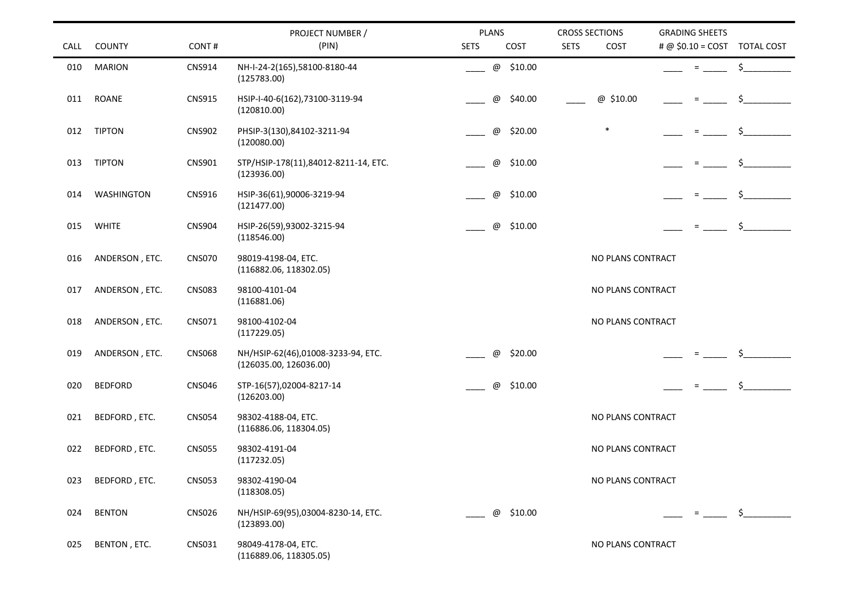|      |                   |               | PROJECT NUMBER /                                             | PLANS                    | <b>CROSS SECTIONS</b> | <b>GRADING SHEETS</b>           |  |
|------|-------------------|---------------|--------------------------------------------------------------|--------------------------|-----------------------|---------------------------------|--|
| CALL | <b>COUNTY</b>     | CONT#         | (PIN)                                                        | <b>SETS</b><br>COST      | <b>SETS</b><br>COST   | $\# @$ \$0.10 = COST TOTAL COST |  |
| 010  | <b>MARION</b>     | <b>CNS914</b> | NH-I-24-2(165),58100-8180-44<br>(125783.00)                  | @ \$10.00                |                       | \$<br>$=$                       |  |
| 011  | <b>ROANE</b>      | <b>CNS915</b> | HSIP-I-40-6(162),73100-3119-94<br>(120810.00)                | \$40.00<br>$^\copyright$ | @ \$10.00             | \$<br>$\equiv$                  |  |
| 012  | <b>TIPTON</b>     | <b>CNS902</b> | PHSIP-3(130),84102-3211-94<br>(120080.00)                    | @<br>\$20.00             | $\ast$                |                                 |  |
| 013  | <b>TIPTON</b>     | <b>CNS901</b> | STP/HSIP-178(11),84012-8211-14, ETC.<br>(123936.00)          | \$10.00<br>@             |                       | Ś.<br>$=$                       |  |
| 014  | <b>WASHINGTON</b> | CNS916        | HSIP-36(61),90006-3219-94<br>(121477.00)                     | $^\copyright$<br>\$10.00 |                       | \$<br>$=$                       |  |
| 015  | <b>WHITE</b>      | <b>CNS904</b> | HSIP-26(59),93002-3215-94<br>(118546.00)                     | \$10.00<br>@             |                       | \$<br>$\equiv$                  |  |
| 016  | ANDERSON, ETC.    | <b>CNS070</b> | 98019-4198-04, ETC.<br>(116882.06, 118302.05)                |                          | NO PLANS CONTRACT     |                                 |  |
| 017  | ANDERSON, ETC.    | <b>CNS083</b> | 98100-4101-04<br>(116881.06)                                 |                          | NO PLANS CONTRACT     |                                 |  |
| 018  | ANDERSON, ETC.    | CNS071        | 98100-4102-04<br>(117229.05)                                 |                          | NO PLANS CONTRACT     |                                 |  |
| 019  | ANDERSON, ETC.    | <b>CNS068</b> | NH/HSIP-62(46),01008-3233-94, ETC.<br>(126035.00, 126036.00) | @<br>\$20.00             |                       |                                 |  |
| 020  | <b>BEDFORD</b>    | <b>CNS046</b> | STP-16(57),02004-8217-14<br>(126203.00)                      | \$10.00<br>@             |                       | \$<br>$\equiv$                  |  |
| 021  | BEDFORD, ETC.     | <b>CNS054</b> | 98302-4188-04, ETC.<br>(116886.06, 118304.05)                |                          | NO PLANS CONTRACT     |                                 |  |
| 022  | BEDFORD, ETC.     | <b>CNS055</b> | 98302-4191-04<br>(117232.05)                                 |                          | NO PLANS CONTRACT     |                                 |  |
| 023  | BEDFORD, ETC.     | <b>CNS053</b> | 98302-4190-04<br>(118308.05)                                 |                          | NO PLANS CONTRACT     |                                 |  |
| 024  | <b>BENTON</b>     | <b>CNS026</b> | NH/HSIP-69(95),03004-8230-14, ETC.<br>(123893.00)            | \$10.00<br>@             |                       | \$<br>$=$ $-$                   |  |
| 025  | BENTON, ETC.      | CNS031        | 98049-4178-04, ETC.<br>(116889.06, 118305.05)                |                          | NO PLANS CONTRACT     |                                 |  |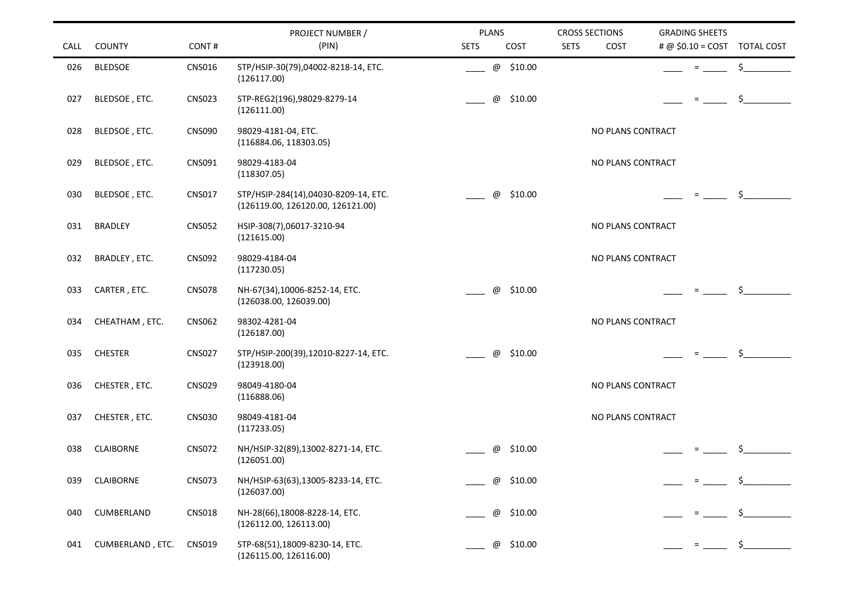|             |                  |               | PROJECT NUMBER /                                                          | <b>PLANS</b>                         | <b>CROSS SECTIONS</b> | <b>GRADING SHEETS</b>                           |
|-------------|------------------|---------------|---------------------------------------------------------------------------|--------------------------------------|-----------------------|-------------------------------------------------|
| <b>CALL</b> | <b>COUNTY</b>    | CONT#         | (PIN)                                                                     | <b>SETS</b><br>COST                  | <b>SETS</b><br>COST   | $\# @$ \$0.10 = COST TOTAL COST                 |
| 026         | <b>BLEDSOE</b>   | <b>CNS016</b> | STP/HSIP-30(79),04002-8218-14, ETC.<br>(126117.00)                        | @ \$10.00                            |                       | \$<br>$=$                                       |
| 027         | BLEDSOE, ETC.    | <b>CNS023</b> | STP-REG2(196),98029-8279-14<br>(126111.00)                                | \$10.00<br>@                         |                       | $\frac{1}{2}$<br>$=$                            |
| 028         | BLEDSOE, ETC.    | <b>CNS090</b> | 98029-4181-04, ETC.<br>(116884.06, 118303.05)                             |                                      | NO PLANS CONTRACT     |                                                 |
| 029         | BLEDSOE, ETC.    | CNS091        | 98029-4183-04<br>(118307.05)                                              |                                      | NO PLANS CONTRACT     |                                                 |
| 030         | BLEDSOE, ETC.    | <b>CNS017</b> | STP/HSIP-284(14),04030-8209-14, ETC.<br>(126119.00, 126120.00, 126121.00) | \$10.00<br>@                         |                       | $\sharp$ and $\sharp$<br><b>Experience</b>      |
| 031         | <b>BRADLEY</b>   | <b>CNS052</b> | HSIP-308(7),06017-3210-94<br>(121615.00)                                  |                                      | NO PLANS CONTRACT     |                                                 |
| 032         | BRADLEY, ETC.    | <b>CNS092</b> | 98029-4184-04<br>(117230.05)                                              |                                      | NO PLANS CONTRACT     |                                                 |
| 033         | CARTER, ETC.     | <b>CNS078</b> | NH-67(34),10006-8252-14, ETC.<br>(126038.00, 126039.00)                   | \$10.00<br>@                         |                       | $\sharp$ and $\sharp$<br><b>E</b> and the state |
| 034         | CHEATHAM, ETC.   | <b>CNS062</b> | 98302-4281-04<br>(126187.00)                                              |                                      | NO PLANS CONTRACT     |                                                 |
| 035         | <b>CHESTER</b>   | <b>CNS027</b> | STP/HSIP-200(39),12010-8227-14, ETC.<br>(123918.00)                       | \$10.00<br>$^\text{\textregistered}$ |                       | $\zeta$<br>$\equiv 1.00000$                     |
| 036         | CHESTER, ETC.    | <b>CNS029</b> | 98049-4180-04<br>(116888.06)                                              |                                      | NO PLANS CONTRACT     |                                                 |
| 037         | CHESTER, ETC.    | <b>CNS030</b> | 98049-4181-04<br>(117233.05)                                              |                                      | NO PLANS CONTRACT     |                                                 |
| 038         | <b>CLAIBORNE</b> | <b>CNS072</b> | NH/HSIP-32(89),13002-8271-14, ETC.<br>(126051.00)                         | \$10.00<br>@                         |                       | $\zeta$<br>$\equiv$ 100 $^{\circ}$              |
| 039         | <b>CLAIBORNE</b> | <b>CNS073</b> | NH/HSIP-63(63),13005-8233-14, ETC.<br>(126037.00)                         | \$10.00<br>@                         |                       |                                                 |
| 040         | CUMBERLAND       | <b>CNS018</b> | NH-28(66),18008-8228-14, ETC.<br>(126112.00, 126113.00)                   | \$10.00<br>@                         |                       |                                                 |
| 041         | CUMBERLAND, ETC. | <b>CNS019</b> | STP-68(51),18009-8230-14, ETC.<br>(126115.00, 126116.00)                  | \$10.00<br>@                         |                       | $\zeta$                                         |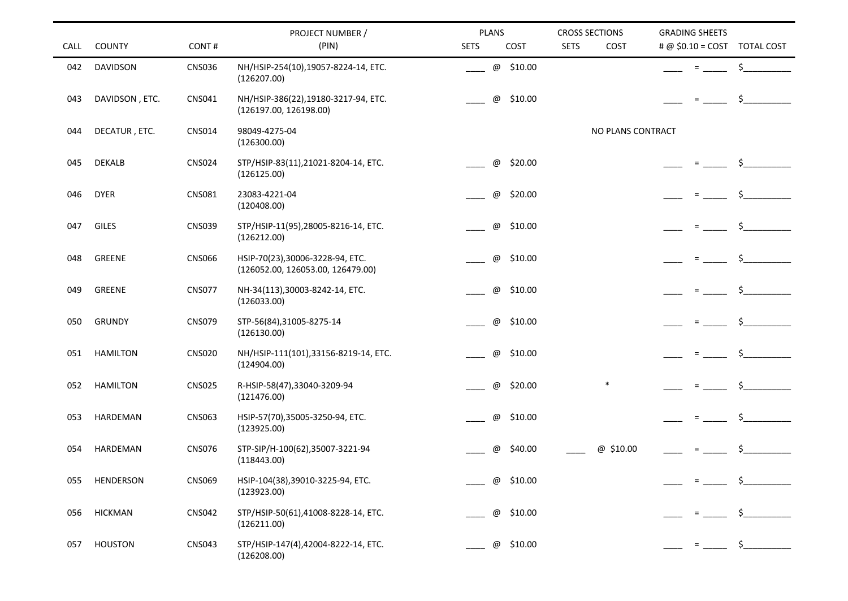|             |                 |               | PROJECT NUMBER /                                                     | <b>PLANS</b>             | <b>CROSS SECTIONS</b> | <b>GRADING SHEETS</b>                   |
|-------------|-----------------|---------------|----------------------------------------------------------------------|--------------------------|-----------------------|-----------------------------------------|
| <b>CALL</b> | <b>COUNTY</b>   | CONT#         | (PIN)                                                                | <b>SETS</b><br>COST      | <b>SETS</b><br>COST   | # @ $$0.10 = COST$<br><b>TOTAL COST</b> |
| 042         | DAVIDSON        | <b>CNS036</b> | NH/HSIP-254(10),19057-8224-14, ETC.<br>(126207.00)                   | \$10.00<br>@             |                       | S                                       |
| 043         | DAVIDSON, ETC.  | CNS041        | NH/HSIP-386(22),19180-3217-94, ETC.<br>(126197.00, 126198.00)        | \$10.00<br>$^\copyright$ |                       | \$                                      |
| 044         | DECATUR, ETC.   | <b>CNS014</b> | 98049-4275-04<br>(126300.00)                                         |                          | NO PLANS CONTRACT     |                                         |
| 045         | <b>DEKALB</b>   | <b>CNS024</b> | STP/HSIP-83(11),21021-8204-14, ETC.<br>(126125.00)                   | \$20.00<br>$^\copyright$ |                       | Ŝ.                                      |
| 046         | <b>DYER</b>     | <b>CNS081</b> | 23083-4221-04<br>(120408.00)                                         | \$20.00<br>$^\copyright$ |                       | \$.                                     |
| 047         | GILES           | <b>CNS039</b> | STP/HSIP-11(95),28005-8216-14, ETC.<br>(126212.00)                   | $^\copyright$<br>\$10.00 |                       | \$.                                     |
| 048         | GREENE          | <b>CNS066</b> | HSIP-70(23),30006-3228-94, ETC.<br>(126052.00, 126053.00, 126479.00) | \$10.00<br>@             |                       |                                         |
| 049         | GREENE          | <b>CNS077</b> | NH-34(113),30003-8242-14, ETC.<br>(126033.00)                        | \$10.00<br>$^\copyright$ |                       | \$<br>$=$                               |
| 050         | <b>GRUNDY</b>   | <b>CNS079</b> | STP-56(84),31005-8275-14<br>(126130.00)                              | \$10.00<br>$^\copyright$ |                       | \$.                                     |
| 051         | <b>HAMILTON</b> | <b>CNS020</b> | NH/HSIP-111(101),33156-8219-14, ETC.<br>(124904.00)                  | \$10.00<br>@             |                       | \$                                      |
| 052         | <b>HAMILTON</b> | <b>CNS025</b> | R-HSIP-58(47),33040-3209-94<br>(121476.00)                           | \$20.00<br>$^\copyright$ | $\ast$                | \$                                      |
| 053         | HARDEMAN        | <b>CNS063</b> | HSIP-57(70),35005-3250-94, ETC.<br>(123925.00)                       | \$10.00<br>@             |                       | \$                                      |
| 054         | HARDEMAN        | <b>CNS076</b> | STP-SIP/H-100(62),35007-3221-94<br>(118443.00)                       | \$40.00<br>$^\copyright$ | @ \$10.00             | $\equiv$                                |
| 055         | HENDERSON       | <b>CNS069</b> | HSIP-104(38), 39010-3225-94, ETC.<br>(123923.00)                     | \$10.00<br>@             |                       |                                         |
| 056         | <b>HICKMAN</b>  | <b>CNS042</b> | STP/HSIP-50(61),41008-8228-14, ETC.<br>(126211.00)                   | \$10.00<br>@             |                       |                                         |
| 057         | <b>HOUSTON</b>  | <b>CNS043</b> | STP/HSIP-147(4),42004-8222-14, ETC.<br>(126208.00)                   | \$10.00<br>@             |                       | $\zeta$ and $\zeta$                     |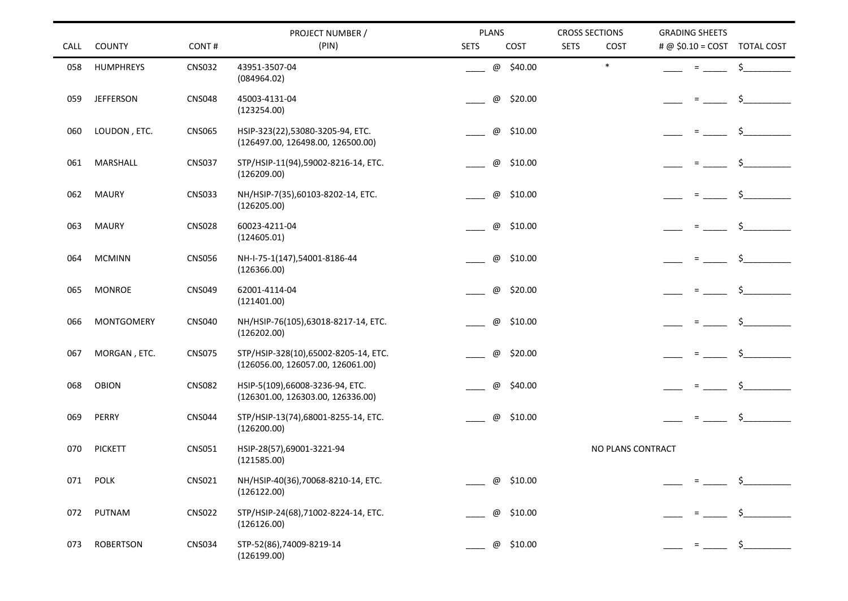| CALL | <b>COUNTY</b>     | CONT#         | PROJECT NUMBER /<br>(PIN)                                                 | PLANS<br><b>SETS</b><br>COST | <b>CROSS SECTIONS</b><br><b>SETS</b><br>COST | <b>GRADING SHEETS</b><br># @ $$0.10 = COST$<br><b>TOTAL COST</b> |
|------|-------------------|---------------|---------------------------------------------------------------------------|------------------------------|----------------------------------------------|------------------------------------------------------------------|
| 058  | HUMPHREYS         | <b>CNS032</b> | 43951-3507-04<br>(084964.02)                                              | \$40.00<br>@                 | $\ast$                                       | \$<br>$=$                                                        |
| 059  | <b>JEFFERSON</b>  | <b>CNS048</b> | 45003-4131-04<br>(123254.00)                                              | \$20.00<br>@                 |                                              | \$<br>$=$                                                        |
| 060  | LOUDON, ETC.      | <b>CNS065</b> | HSIP-323(22),53080-3205-94, ETC.<br>(126497.00, 126498.00, 126500.00)     | \$10.00<br>@                 |                                              | Ŝ.                                                               |
| 061  | MARSHALL          | <b>CNS037</b> | STP/HSIP-11(94),59002-8216-14, ETC.<br>(126209.00)                        | @<br>\$10.00                 |                                              | \$                                                               |
| 062  | <b>MAURY</b>      | <b>CNS033</b> | NH/HSIP-7(35),60103-8202-14, ETC.<br>(126205.00)                          | \$10.00<br>@                 |                                              |                                                                  |
| 063  | <b>MAURY</b>      | <b>CNS028</b> | 60023-4211-04<br>(124605.01)                                              | @<br>\$10.00                 |                                              |                                                                  |
| 064  | <b>MCMINN</b>     | <b>CNS056</b> | NH-I-75-1(147),54001-8186-44<br>(126366.00)                               | \$10.00<br>@                 |                                              |                                                                  |
| 065  | <b>MONROE</b>     | <b>CNS049</b> | 62001-4114-04<br>(121401.00)                                              | \$20.00<br>@                 |                                              | \$.                                                              |
| 066  | <b>MONTGOMERY</b> | <b>CNS040</b> | NH/HSIP-76(105),63018-8217-14, ETC.<br>(126202.00)                        | @<br>\$10.00                 |                                              | \$.                                                              |
| 067  | MORGAN, ETC.      | <b>CNS075</b> | STP/HSIP-328(10),65002-8205-14, ETC.<br>(126056.00, 126057.00, 126061.00) | @<br>\$20.00                 |                                              |                                                                  |
| 068  | <b>OBION</b>      | <b>CNS082</b> | HSIP-5(109),66008-3236-94, ETC.<br>(126301.00, 126303.00, 126336.00)      | @<br>\$40.00                 |                                              | \$<br>$=$                                                        |
| 069  | PERRY             | <b>CNS044</b> | STP/HSIP-13(74),68001-8255-14, ETC.<br>(126200.00)                        | \$10.00<br>@                 |                                              | \$                                                               |
| 070  | <b>PICKETT</b>    | <b>CNS051</b> | HSIP-28(57),69001-3221-94<br>(121585.00)                                  |                              |                                              | NO PLANS CONTRACT                                                |
| 071  | POLK              | <b>CNS021</b> | NH/HSIP-40(36),70068-8210-14, ETC.<br>(126122.00)                         | \$10.00<br>@                 |                                              |                                                                  |
| 072  | PUTNAM            | <b>CNS022</b> | STP/HSIP-24(68),71002-8224-14, ETC.<br>(126126.00)                        | \$10.00<br>@                 |                                              |                                                                  |
| 073  | <b>ROBERTSON</b>  | <b>CNS034</b> | STP-52(86),74009-8219-14<br>(126199.00)                                   | \$10.00<br>@                 |                                              | \$                                                               |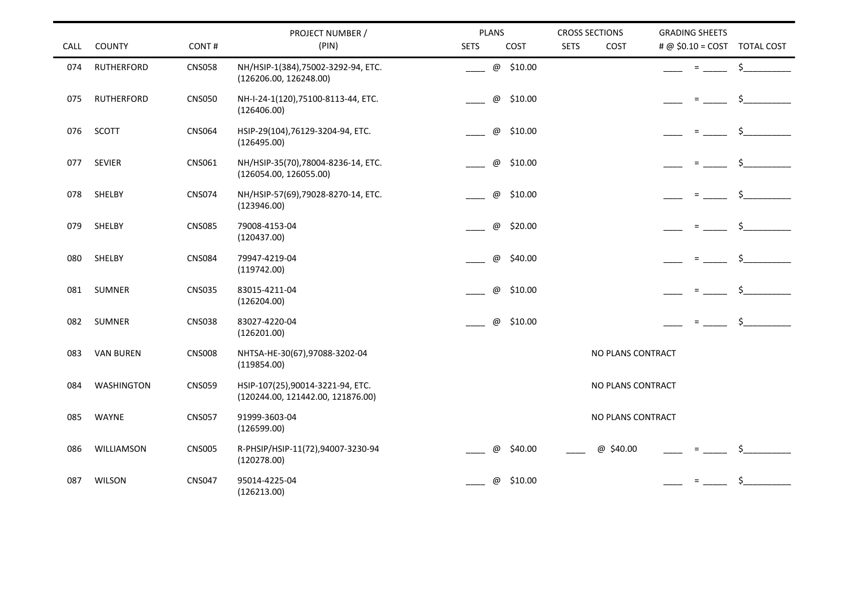| CALL | <b>COUNTY</b>     | CONT#         | PROJECT NUMBER /<br>(PIN)                                             | <b>PLANS</b><br><b>SETS</b> | COST                                 | <b>CROSS SECTIONS</b><br><b>SETS</b> | COST              | <b>GRADING SHEETS</b><br># @ \$0.10 = COST TOTAL COST |               |
|------|-------------------|---------------|-----------------------------------------------------------------------|-----------------------------|--------------------------------------|--------------------------------------|-------------------|-------------------------------------------------------|---------------|
| 074  | <b>RUTHERFORD</b> | <b>CNS058</b> | NH/HSIP-1(384),75002-3292-94, ETC.<br>(126206.00, 126248.00)          |                             | @ \$10.00                            |                                      |                   | $=$                                                   | $\frac{1}{2}$ |
| 075  | <b>RUTHERFORD</b> | <b>CNS050</b> | NH-I-24-1(120),75100-8113-44, ETC.<br>(126406.00)                     |                             | \$10.00<br>$^\copyright$             |                                      |                   | $=$                                                   | \$            |
| 076  | SCOTT             | <b>CNS064</b> | HSIP-29(104),76129-3204-94, ETC.<br>(126495.00)                       |                             | \$10.00<br>$^\copyright$             |                                      |                   | $=$                                                   | \$            |
| 077  | <b>SEVIER</b>     | CNS061        | NH/HSIP-35(70),78004-8236-14, ETC.<br>(126054.00, 126055.00)          |                             | $^\copyright$<br>\$10.00             |                                      |                   |                                                       | \$            |
| 078  | SHELBY            | <b>CNS074</b> | NH/HSIP-57(69),79028-8270-14, ETC.<br>(123946.00)                     |                             | $^\copyright$<br>\$10.00             |                                      |                   |                                                       | Ś.            |
| 079  | SHELBY            | <b>CNS085</b> | 79008-4153-04<br>(120437.00)                                          |                             | $^\copyright$<br>\$20.00             |                                      |                   | $=$                                                   | Ś.            |
| 080  | SHELBY            | <b>CNS084</b> | 79947-4219-04<br>(119742.00)                                          |                             | $^\copyright$<br>\$40.00             |                                      |                   |                                                       | \$.           |
| 081  | <b>SUMNER</b>     | <b>CNS035</b> | 83015-4211-04<br>(126204.00)                                          |                             | @<br>\$10.00                         |                                      |                   | $=$                                                   |               |
| 082  | <b>SUMNER</b>     | <b>CNS038</b> | 83027-4220-04<br>(126201.00)                                          |                             | \$10.00<br>$^\text{\textregistered}$ |                                      |                   | $=$                                                   | \$            |
| 083  | <b>VAN BUREN</b>  | <b>CNS008</b> | NHTSA-HE-30(67),97088-3202-04<br>(119854.00)                          |                             |                                      |                                      | NO PLANS CONTRACT |                                                       |               |
| 084  | <b>WASHINGTON</b> | <b>CNS059</b> | HSIP-107(25),90014-3221-94, ETC.<br>(120244.00, 121442.00, 121876.00) |                             |                                      |                                      | NO PLANS CONTRACT |                                                       |               |
| 085  | WAYNE             | <b>CNS057</b> | 91999-3603-04<br>(126599.00)                                          |                             |                                      |                                      | NO PLANS CONTRACT |                                                       |               |
| 086  | WILLIAMSON        | <b>CNS005</b> | R-PHSIP/HSIP-11(72),94007-3230-94<br>(120278.00)                      |                             | \$40.00<br>$\omega$                  |                                      | @ \$40.00         |                                                       |               |
| 087  | <b>WILSON</b>     | <b>CNS047</b> | 95014-4225-04<br>(126213.00)                                          |                             | \$10.00<br>$^\text{\textregistered}$ |                                      |                   |                                                       |               |